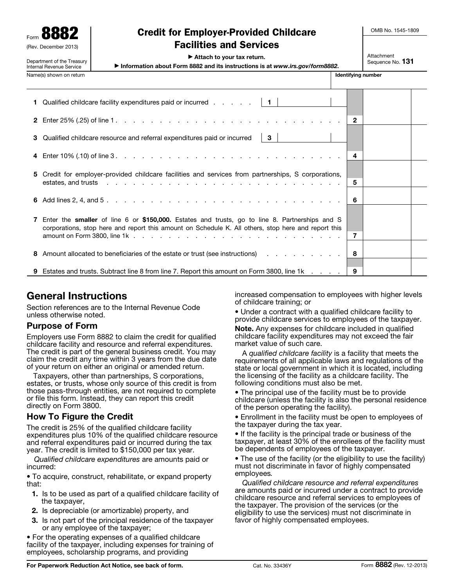Form **8882** (Rev. December 201

Department of the Treasury

## Credit for Employer-Provided Childcare Facilities and Services

OMB No. 1545-1809

▶ Attach to your tax return.

▶ Information about Form 8882 and its instructions is at *www.irs.gov/form8882*.

 Attachment Sequence No. 131

|                         | oparamont or the measury<br>Internal Revenue Service                        | Information about Form 8882 and its instructions is at www.irs.gov/form8882.                                                                                                                                                                                                                                                          | <b>OCUUCHICE IVO. IVI</b> |  |  |
|-------------------------|-----------------------------------------------------------------------------|---------------------------------------------------------------------------------------------------------------------------------------------------------------------------------------------------------------------------------------------------------------------------------------------------------------------------------------|---------------------------|--|--|
| Name(s) shown on return |                                                                             |                                                                                                                                                                                                                                                                                                                                       | <b>Identifying number</b> |  |  |
|                         |                                                                             | 1 Qualified childcare facility expenditures paid or incurred $\ldots$ $\ldots$   1                                                                                                                                                                                                                                                    |                           |  |  |
|                         |                                                                             |                                                                                                                                                                                                                                                                                                                                       |                           |  |  |
|                         | 3 Qualified childcare resource and referral expenditures paid or incurred 3 |                                                                                                                                                                                                                                                                                                                                       |                           |  |  |
|                         |                                                                             |                                                                                                                                                                                                                                                                                                                                       |                           |  |  |
|                         |                                                                             | 5 Credit for employer-provided childcare facilities and services from partnerships, S corporations,<br>estates, and trusts response to the contract of the contract of the contract of the contract of the contract of the contract of the contract of the contract of the contract of the contract of the contract of the contract o | 5                         |  |  |
|                         |                                                                             |                                                                                                                                                                                                                                                                                                                                       |                           |  |  |
|                         |                                                                             | Enter the smaller of line 6 or \$150,000. Estates and trusts, go to line 8. Partnerships and S<br>corporations, stop here and report this amount on Schedule K. All others, stop here and report this                                                                                                                                 | $\overline{7}$            |  |  |
|                         |                                                                             | 8 Amount allocated to beneficiaries of the estate or trust (see instructions)                                                                                                                                                                                                                                                         | - 8                       |  |  |
|                         |                                                                             | 9 Estates and trusts. Subtract line 8 from line 7. Report this amount on Form 3800, line 1k                                                                                                                                                                                                                                           | 9                         |  |  |

# General Instructions

Section references are to the Internal Revenue Code unless otherwise noted.

## Purpose of Form

Employers use Form 8882 to claim the credit for qualified childcare facility and resource and referral expenditures. The credit is part of the general business credit. You may claim the credit any time within 3 years from the due date of your return on either an original or amended return.

Taxpayers, other than partnerships, S corporations, estates, or trusts, whose only source of this credit is from those pass-through entities, are not required to complete or file this form. Instead, they can report this credit directly on Form 3800.

## How To Figure the Credit

The credit is 25% of the qualified childcare facility expenditures plus 10% of the qualified childcare resource and referral expenditures paid or incurred during the tax year. The credit is limited to \$150,000 per tax year.

*Qualified childcare expenditures* are amounts paid or incurred:

• To acquire, construct, rehabilitate, or expand property that:

- 1. Is to be used as part of a qualified childcare facility of the taxpayer,
- 2. Is depreciable (or amortizable) property, and
- **3.** Is not part of the principal residence of the taxpayer or any employee of the taxpayer;

• For the operating expenses of a qualified childcare facility of the taxpayer, including expenses for training of employees, scholarship programs, and providing

increased compensation to employees with higher levels of childcare training; or

• Under a contract with a qualified childcare facility to provide childcare services to employees of the taxpayer.

Note. Any expenses for childcare included in qualified childcare facility expenditures may not exceed the fair market value of such care.

A *qualified childcare facility* is a facility that meets the requirements of all applicable laws and regulations of the state or local government in which it is located, including the licensing of the facility as a childcare facility. The following conditions must also be met.

• The principal use of the facility must be to provide childcare (unless the facility is also the personal residence of the person operating the facility).

• Enrollment in the facility must be open to employees of the taxpayer during the tax year.

• If the facility is the principal trade or business of the taxpayer, at least 30% of the enrollees of the facility must be dependents of employees of the taxpayer.

• The use of the facility (or the eligibility to use the facility) must not discriminate in favor of highly compensated employees*.*

*Qualified childcare resource and referral expenditures*  are amounts paid or incurred under a contract to provide childcare resource and referral services to employees of the taxpayer. The provision of the services (or the eligibility to use the services) must not discriminate in favor of highly compensated employees.